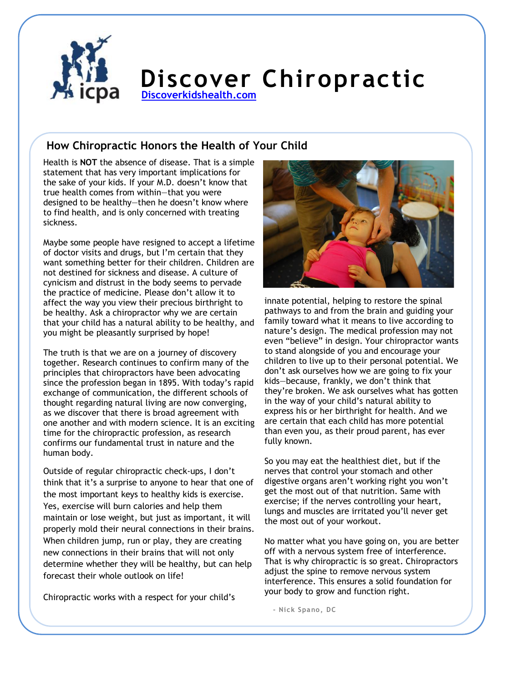

## **Discover Chiropractic [Discoverkidshealth.com](http://www.discoverkidshealth.com/)**

## **How Chiropractic Honors the Health of Your Child**

Health is **NOT** the absence of disease. That is a simple statement that has very important implications for the sake of your kids. If your M.D. doesn't know that true health comes from within—that you were designed to be healthy—then he doesn't know where to find health, and is only concerned with treating sickness.

Maybe some people have resigned to accept a lifetime of doctor visits and drugs, but I'm certain that they want something better for their children. Children are not destined for sickness and disease. A culture of cynicism and distrust in the body seems to pervade the practice of medicine. Please don't allow it to affect the way you view their precious birthright to be healthy. Ask a chiropractor why we are certain that your child has a natural ability to be healthy, and you might be pleasantly surprised by hope!

The truth is that we are on a journey of discovery together. Research continues to confirm many of the principles that chiropractors have been advocating since the profession began in 1895. With today's rapid exchange of communication, the different schools of thought regarding natural living are now converging, as we discover that there is broad agreement with one another and with modern science. It is an exciting time for the chiropractic profession, as research confirms our fundamental trust in nature and the human body.

Outside of regular chiropractic check-ups, I don't think that it's a surprise to anyone to hear that one of the most important keys to healthy kids is exercise. Yes, exercise will burn calories and help them maintain or lose weight, but just as important, it will properly mold their neural connections in their brains. When children jump, run or play, they are creating new connections in their brains that will not only determine whether they will be healthy, but can help forecast their whole outlook on life!

Chiropractic works with a respect for your child's



innate potential, helping to restore the spinal pathways to and from the brain and guiding your family toward what it means to live according to nature's design. The medical profession may not even "believe" in design. Your chiropractor wants to stand alongside of you and encourage your children to live up to their personal potential. We don't ask ourselves how we are going to fix your kids—because, frankly, we don't think that they're broken. We ask ourselves what has gotten in the way of your child's natural ability to express his or her birthright for health. And we are certain that each child has more potential than even you, as their proud parent, has ever fully known.

So you may eat the healthiest diet, but if the nerves that control your stomach and other digestive organs aren't working right you won't get the most out of that nutrition. Same with exercise; if the nerves controlling your heart, lungs and muscles are irritated you'll never get the most out of your workout.

No matter what you have going on, you are better off with a nervous system free of interference. That is why chiropractic is so great. Chiropractors adjust the spine to remove nervous system interference. This ensures a solid foundation for your body to grow and function right.

**- Nick Spano, DC**